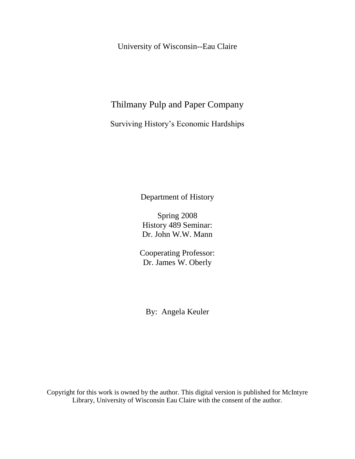University of Wisconsin--Eau Claire

## Thilmany Pulp and Paper Company

Surviving History"s Economic Hardships

Department of History

Spring 2008 History 489 Seminar: Dr. John W.W. Mann

Cooperating Professor: Dr. James W. Oberly

By: Angela Keuler

Copyright for this work is owned by the author. This digital version is published for McIntyre Library, University of Wisconsin Eau Claire with the consent of the author.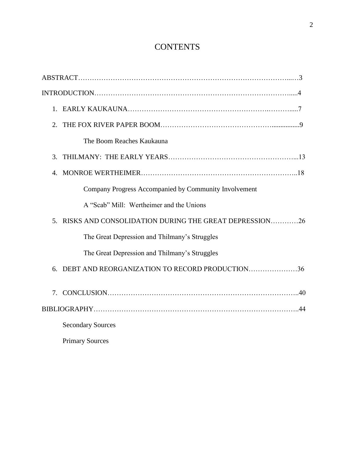# **CONTENTS**

| 2.                          |                                                       |
|-----------------------------|-------------------------------------------------------|
|                             | The Boom Reaches Kaukauna                             |
| $\mathcal{F}_{\mathcal{L}}$ |                                                       |
| $4_{-}$                     |                                                       |
|                             | Company Progress Accompanied by Community Involvement |
|                             | A "Scab" Mill: Wertheimer and the Unions              |
| 5.                          | RISKS AND CONSOLIDATION DURING THE GREAT DEPRESSION26 |
|                             | The Great Depression and Thilmany's Struggles         |
|                             | The Great Depression and Thilmany's Struggles         |
| 6.                          | DEBT AND REORGANIZATION TO RECORD PRODUCTION36        |
|                             |                                                       |
|                             |                                                       |
|                             | <b>Secondary Sources</b>                              |
|                             | <b>Primary Sources</b>                                |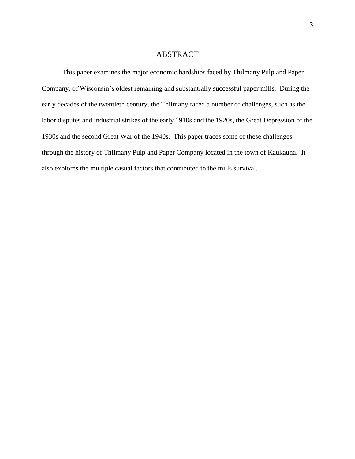## ABSTRACT

This paper examines the major economic hardships faced by Thilmany Pulp and Paper Company, of Wisconsin"s oldest remaining and substantially successful paper mills. During the early decades of the twentieth century, the Thilmany faced a number of challenges, such as the labor disputes and industrial strikes of the early 1910s and the 1920s, the Great Depression of the 1930s and the second Great War of the 1940s. This paper traces some of these challenges through the history of Thilmany Pulp and Paper Company located in the town of Kaukauna. It also explores the multiple casual factors that contributed to the mills survival.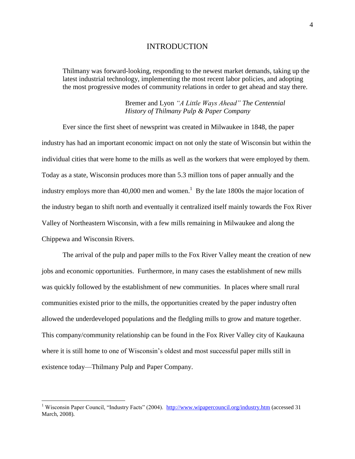## INTRODUCTION

Thilmany was forward-looking, responding to the newest market demands, taking up the latest industrial technology, implementing the most recent labor policies, and adopting the most progressive modes of community relations in order to get ahead and stay there.

## Bremer and Lyon *"A Little Ways Ahead" The Centennial History of Thilmany Pulp & Paper Company*

Ever since the first sheet of newsprint was created in Milwaukee in 1848, the paper industry has had an important economic impact on not only the state of Wisconsin but within the individual cities that were home to the mills as well as the workers that were employed by them. Today as a state, Wisconsin produces more than 5.3 million tons of paper annually and the industry employs more than  $40,000$  men and women.<sup>1</sup> By the late 1800s the major location of the industry began to shift north and eventually it centralized itself mainly towards the Fox River Valley of Northeastern Wisconsin, with a few mills remaining in Milwaukee and along the Chippewa and Wisconsin Rivers.

The arrival of the pulp and paper mills to the Fox River Valley meant the creation of new jobs and economic opportunities. Furthermore, in many cases the establishment of new mills was quickly followed by the establishment of new communities. In places where small rural communities existed prior to the mills, the opportunities created by the paper industry often allowed the underdeveloped populations and the fledgling mills to grow and mature together. This company/community relationship can be found in the Fox River Valley city of Kaukauna where it is still home to one of Wisconsin's oldest and most successful paper mills still in existence today—Thilmany Pulp and Paper Company.

<sup>&</sup>lt;sup>1</sup> Wisconsin Paper Council, "Industry Facts" (2004). <http://www.wipapercouncil.org/industry.htm> (accessed 31 March, 2008).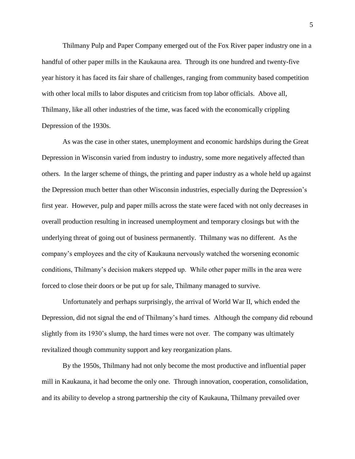Thilmany Pulp and Paper Company emerged out of the Fox River paper industry one in a handful of other paper mills in the Kaukauna area. Through its one hundred and twenty-five year history it has faced its fair share of challenges, ranging from community based competition with other local mills to labor disputes and criticism from top labor officials. Above all, Thilmany, like all other industries of the time, was faced with the economically crippling Depression of the 1930s.

As was the case in other states, unemployment and economic hardships during the Great Depression in Wisconsin varied from industry to industry, some more negatively affected than others. In the larger scheme of things, the printing and paper industry as a whole held up against the Depression much better than other Wisconsin industries, especially during the Depression"s first year. However, pulp and paper mills across the state were faced with not only decreases in overall production resulting in increased unemployment and temporary closings but with the underlying threat of going out of business permanently. Thilmany was no different. As the company"s employees and the city of Kaukauna nervously watched the worsening economic conditions, Thilmany"s decision makers stepped up. While other paper mills in the area were forced to close their doors or be put up for sale, Thilmany managed to survive.

Unfortunately and perhaps surprisingly, the arrival of World War II, which ended the Depression, did not signal the end of Thilmany's hard times. Although the company did rebound slightly from its 1930"s slump, the hard times were not over. The company was ultimately revitalized though community support and key reorganization plans.

By the 1950s, Thilmany had not only become the most productive and influential paper mill in Kaukauna, it had become the only one. Through innovation, cooperation, consolidation, and its ability to develop a strong partnership the city of Kaukauna, Thilmany prevailed over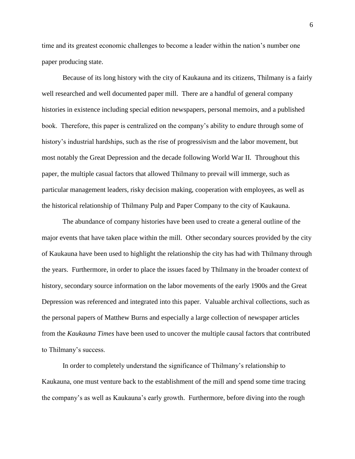time and its greatest economic challenges to become a leader within the nation"s number one paper producing state.

Because of its long history with the city of Kaukauna and its citizens, Thilmany is a fairly well researched and well documented paper mill. There are a handful of general company histories in existence including special edition newspapers, personal memoirs, and a published book. Therefore, this paper is centralized on the company"s ability to endure through some of history's industrial hardships, such as the rise of progressivism and the labor movement, but most notably the Great Depression and the decade following World War II. Throughout this paper, the multiple casual factors that allowed Thilmany to prevail will immerge, such as particular management leaders, risky decision making, cooperation with employees, as well as the historical relationship of Thilmany Pulp and Paper Company to the city of Kaukauna.

The abundance of company histories have been used to create a general outline of the major events that have taken place within the mill. Other secondary sources provided by the city of Kaukauna have been used to highlight the relationship the city has had with Thilmany through the years. Furthermore, in order to place the issues faced by Thilmany in the broader context of history, secondary source information on the labor movements of the early 1900s and the Great Depression was referenced and integrated into this paper. Valuable archival collections, such as the personal papers of Matthew Burns and especially a large collection of newspaper articles from the *Kaukauna Times* have been used to uncover the multiple causal factors that contributed to Thilmany's success.

In order to completely understand the significance of Thilmany"s relationship to Kaukauna, one must venture back to the establishment of the mill and spend some time tracing the company"s as well as Kaukauna"s early growth. Furthermore, before diving into the rough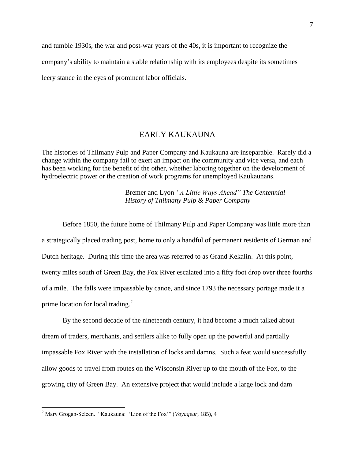and tumble 1930s, the war and post-war years of the 40s, it is important to recognize the company"s ability to maintain a stable relationship with its employees despite its sometimes leery stance in the eyes of prominent labor officials.

## EARLY KAUKAUNA

The histories of Thilmany Pulp and Paper Company and Kaukauna are inseparable. Rarely did a change within the company fail to exert an impact on the community and vice versa, and each has been working for the benefit of the other, whether laboring together on the development of hydroelectric power or the creation of work programs for unemployed Kaukaunans.

> Bremer and Lyon *"A Little Ways Ahead" The Centennial History of Thilmany Pulp & Paper Company*

Before 1850, the future home of Thilmany Pulp and Paper Company was little more than a strategically placed trading post, home to only a handful of permanent residents of German and Dutch heritage. During this time the area was referred to as Grand Kekalin. At this point, twenty miles south of Green Bay, the Fox River escalated into a fifty foot drop over three fourths of a mile. The falls were impassable by canoe, and since 1793 the necessary portage made it a prime location for local trading.<sup>2</sup>

By the second decade of the nineteenth century, it had become a much talked about dream of traders, merchants, and settlers alike to fully open up the powerful and partially impassable Fox River with the installation of locks and damns. Such a feat would successfully allow goods to travel from routes on the Wisconsin River up to the mouth of the Fox, to the growing city of Green Bay. An extensive project that would include a large lock and dam

<sup>2</sup> Mary Grogan-Seleen. "Kaukauna: "Lion of the Fox"" (*Voyageur*, 185), 4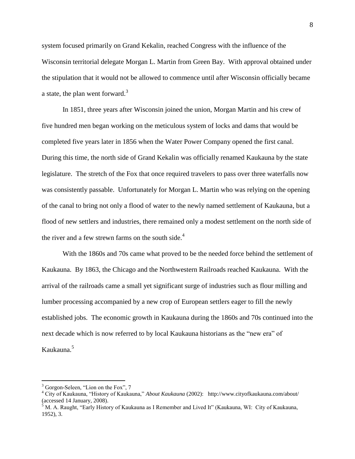system focused primarily on Grand Kekalin, reached Congress with the influence of the Wisconsin territorial delegate Morgan L. Martin from Green Bay. With approval obtained under the stipulation that it would not be allowed to commence until after Wisconsin officially became a state, the plan went forward.<sup>3</sup>

In 1851, three years after Wisconsin joined the union, Morgan Martin and his crew of five hundred men began working on the meticulous system of locks and dams that would be completed five years later in 1856 when the Water Power Company opened the first canal. During this time, the north side of Grand Kekalin was officially renamed Kaukauna by the state legislature. The stretch of the Fox that once required travelers to pass over three waterfalls now was consistently passable. Unfortunately for Morgan L. Martin who was relying on the opening of the canal to bring not only a flood of water to the newly named settlement of Kaukauna, but a flood of new settlers and industries, there remained only a modest settlement on the north side of the river and a few strewn farms on the south side. $4$ 

With the 1860s and 70s came what proved to be the needed force behind the settlement of Kaukauna. By 1863, the Chicago and the Northwestern Railroads reached Kaukauna. With the arrival of the railroads came a small yet significant surge of industries such as flour milling and lumber processing accompanied by a new crop of European settlers eager to fill the newly established jobs. The economic growth in Kaukauna during the 1860s and 70s continued into the next decade which is now referred to by local Kaukauna historians as the "new era" of Kaukauna.<sup>5</sup>

<sup>&</sup>lt;sup>3</sup> Gorgon-Seleen, "Lion on the Fox", 7

<sup>4</sup> City of Kaukauna, "History of Kaukauna," *About Kaukauna* (2002): http://www.cityofkaukauna.com/about/ (accessed 14 January, 2008).

 $^5$  M. A. Raught, "Early History of Kaukauna as I Remember and Lived It" (Kaukauna, WI: City of Kaukauna, 1952), 3.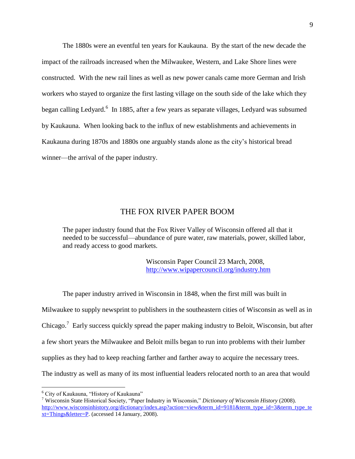The 1880s were an eventful ten years for Kaukauna. By the start of the new decade the impact of the railroads increased when the Milwaukee, Western, and Lake Shore lines were constructed. With the new rail lines as well as new power canals came more German and Irish workers who stayed to organize the first lasting village on the south side of the lake which they began calling Ledyard.<sup>6</sup> In 1885, after a few years as separate villages, Ledyard was subsumed by Kaukauna. When looking back to the influx of new establishments and achievements in Kaukauna during 1870s and 1880s one arguably stands alone as the city"s historical bread winner—the arrival of the paper industry.

## THE FOX RIVER PAPER BOOM

The paper industry found that the Fox River Valley of Wisconsin offered all that it needed to be successful—abundance of pure water, raw materials, power, skilled labor, and ready access to good markets.

> Wisconsin Paper Council 23 March, 2008, <http://www.wipapercouncil.org/industry.htm>

The paper industry arrived in Wisconsin in 1848, when the first mill was built in Milwaukee to supply newsprint to publishers in the southeastern cities of Wisconsin as well as in Chicago.<sup>7</sup> Early success quickly spread the paper making industry to Beloit, Wisconsin, but after a few short years the Milwaukee and Beloit mills began to run into problems with their lumber supplies as they had to keep reaching farther and farther away to acquire the necessary trees. The industry as well as many of its most influential leaders relocated north to an area that would

<sup>6</sup> City of Kaukauna, "History of Kaukauna"

<sup>7</sup> Wisconsin State Historical Society, "Paper Industry in Wisconsin," *Dictionary of Wisconsin History* (2008). [http://www.wisconsinhistory.org/dictionary/index.asp?action=view&term\\_id=9181&term\\_type\\_id=3&term\\_type\\_te](http://www.wisconsinhistory.org/dictionary/index.asp?action=view&term_id=9181&term_type_id=3&term_type_text=Things&letter=P) [xt=Things&letter=P.](http://www.wisconsinhistory.org/dictionary/index.asp?action=view&term_id=9181&term_type_id=3&term_type_text=Things&letter=P) (accessed 14 January, 2008).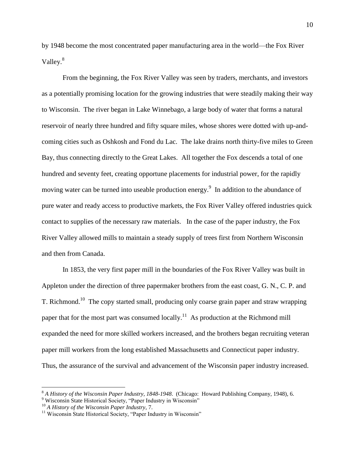by 1948 become the most concentrated paper manufacturing area in the world—the Fox River Valley.<sup>8</sup>

From the beginning, the Fox River Valley was seen by traders, merchants, and investors as a potentially promising location for the growing industries that were steadily making their way to Wisconsin. The river began in Lake Winnebago, a large body of water that forms a natural reservoir of nearly three hundred and fifty square miles, whose shores were dotted with up-andcoming cities such as Oshkosh and Fond du Lac. The lake drains north thirty-five miles to Green Bay, thus connecting directly to the Great Lakes. All together the Fox descends a total of one hundred and seventy feet, creating opportune placements for industrial power, for the rapidly moving water can be turned into useable production energy.<sup>9</sup> In addition to the abundance of pure water and ready access to productive markets, the Fox River Valley offered industries quick contact to supplies of the necessary raw materials. In the case of the paper industry, the Fox River Valley allowed mills to maintain a steady supply of trees first from Northern Wisconsin and then from Canada.

In 1853, the very first paper mill in the boundaries of the Fox River Valley was built in Appleton under the direction of three papermaker brothers from the east coast, G. N., C. P. and T. Richmond.<sup>10</sup> The copy started small, producing only coarse grain paper and straw wrapping paper that for the most part was consumed locally.<sup>11</sup> As production at the Richmond mill expanded the need for more skilled workers increased, and the brothers began recruiting veteran paper mill workers from the long established Massachusetts and Connecticut paper industry. Thus, the assurance of the survival and advancement of the Wisconsin paper industry increased.

<sup>8</sup> *A History of the Wisconsin Paper Industry, 1848-1948*. (Chicago: Howard Publishing Company, 1948), 6.

<sup>&</sup>lt;sup>9</sup> Wisconsin State Historical Society, "Paper Industry in Wisconsin"

<sup>10</sup> *A History of the Wisconsin Paper Industry*, 7.

 $11$  Wisconsin State Historical Society, "Paper Industry in Wisconsin"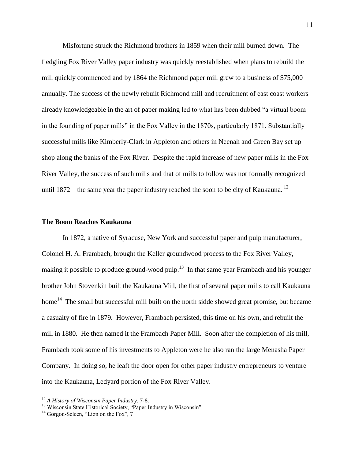Misfortune struck the Richmond brothers in 1859 when their mill burned down. The fledgling Fox River Valley paper industry was quickly reestablished when plans to rebuild the mill quickly commenced and by 1864 the Richmond paper mill grew to a business of \$75,000 annually. The success of the newly rebuilt Richmond mill and recruitment of east coast workers already knowledgeable in the art of paper making led to what has been dubbed "a virtual boom in the founding of paper mills" in the Fox Valley in the 1870s, particularly 1871. Substantially successful mills like Kimberly-Clark in Appleton and others in Neenah and Green Bay set up shop along the banks of the Fox River. Despite the rapid increase of new paper mills in the Fox River Valley, the success of such mills and that of mills to follow was not formally recognized until 1872—the same year the paper industry reached the soon to be city of Kaukauna.<sup>12</sup>

#### **The Boom Reaches Kaukauna**

In 1872, a native of Syracuse, New York and successful paper and pulp manufacturer, Colonel H. A. Frambach, brought the Keller groundwood process to the Fox River Valley, making it possible to produce ground-wood pulp.<sup>13</sup> In that same year Frambach and his younger brother John Stovenkin built the Kaukauna Mill, the first of several paper mills to call Kaukauna home<sup>14</sup> The small but successful mill built on the north sidde showed great promise, but became a casualty of fire in 1879. However, Frambach persisted, this time on his own, and rebuilt the mill in 1880. He then named it the Frambach Paper Mill. Soon after the completion of his mill, Frambach took some of his investments to Appleton were he also ran the large Menasha Paper Company. In doing so, he leaft the door open for other paper industry entrepreneurs to venture into the Kaukauna, Ledyard portion of the Fox River Valley.

<sup>12</sup> *A History of Wisconsin Paper Industry*, 7-8.

<sup>&</sup>lt;sup>13</sup> Wisconsin State Historical Society, "Paper Industry in Wisconsin"

 $14$  Gorgon-Seleen, "Lion on the Fox", 7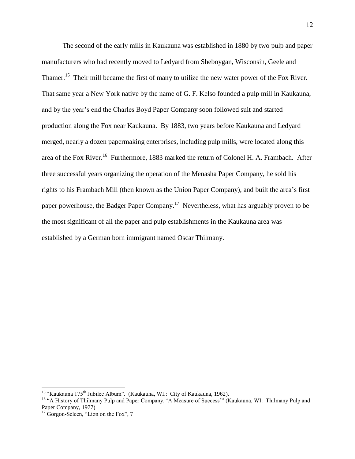The second of the early mills in Kaukauna was established in 1880 by two pulp and paper manufacturers who had recently moved to Ledyard from Sheboygan, Wisconsin, Geele and Thamer.<sup>15</sup> Their mill became the first of many to utilize the new water power of the Fox River. That same year a New York native by the name of G. F. Kelso founded a pulp mill in Kaukauna, and by the year's end the Charles Boyd Paper Company soon followed suit and started production along the Fox near Kaukauna. By 1883, two years before Kaukauna and Ledyard merged, nearly a dozen papermaking enterprises, including pulp mills, were located along this area of the Fox River.<sup>16</sup> Furthermore, 1883 marked the return of Colonel H. A. Frambach. After three successful years organizing the operation of the Menasha Paper Company, he sold his rights to his Frambach Mill (then known as the Union Paper Company), and built the area"s first paper powerhouse, the Badger Paper Company.<sup>17</sup> Nevertheless, what has arguably proven to be the most significant of all the paper and pulp establishments in the Kaukauna area was established by a German born immigrant named Oscar Thilmany.

<sup>&</sup>lt;sup>15</sup> "Kaukauna 175<sup>th</sup> Jubilee Album". (Kaukauna, WI.: City of Kaukauna, 1962).

<sup>&</sup>lt;sup>16</sup> "A History of Thilmany Pulp and Paper Company, 'A Measure of Success'" (Kaukauna, WI: Thilmany Pulp and Paper Company, 1977)

<sup>&</sup>lt;sup>17</sup> Gorgon-Seleen, "Lion on the Fox", 7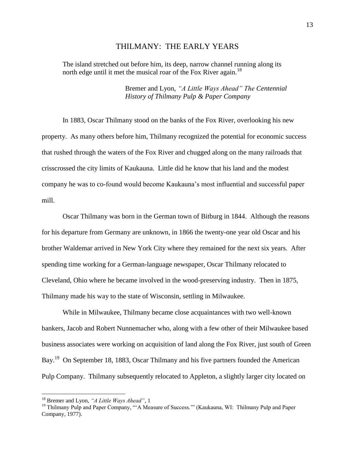#### THILMANY: THE EARLY YEARS

The island stretched out before him, its deep, narrow channel running along its north edge until it met the musical roar of the Fox River again.<sup>18</sup>

> Bremer and Lyon, *"A Little Ways Ahead" The Centennial History of Thilmany Pulp & Paper Company*

In 1883, Oscar Thilmany stood on the banks of the Fox River, overlooking his new property. As many others before him, Thilmany recognized the potential for economic success that rushed through the waters of the Fox River and chugged along on the many railroads that crisscrossed the city limits of Kaukauna. Little did he know that his land and the modest company he was to co-found would become Kaukauna"s most influential and successful paper mill.

Oscar Thilmany was born in the German town of Bitburg in 1844. Although the reasons for his departure from Germany are unknown, in 1866 the twenty-one year old Oscar and his brother Waldemar arrived in New York City where they remained for the next six years. After spending time working for a German-language newspaper, Oscar Thilmany relocated to Cleveland, Ohio where he became involved in the wood-preserving industry. Then in 1875, Thilmany made his way to the state of Wisconsin, settling in Milwaukee.

While in Milwaukee, Thilmany became close acquaintances with two well-known bankers, Jacob and Robert Nunnemacher who, along with a few other of their Milwaukee based business associates were working on acquisition of land along the Fox River, just south of Green Bay.<sup>19</sup> On September 18, 1883, Oscar Thilmany and his five partners founded the American Pulp Company. Thilmany subsequently relocated to Appleton, a slightly larger city located on

<sup>18</sup> Bremer and Lyon, *"A Little Ways Ahead"*, 1

<sup>&</sup>lt;sup>19</sup> Thilmany Pulp and Paper Company, ""A Measure of Success."" (Kaukauna, WI: Thilmany Pulp and Paper Company, 1977).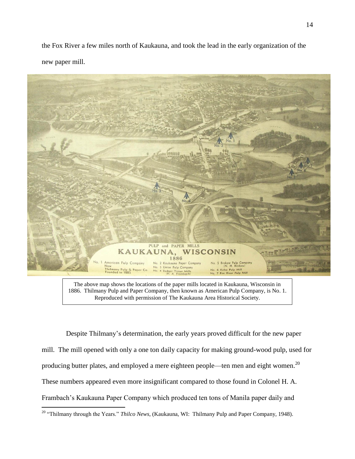the Fox River a few miles north of Kaukauna, and took the lead in the early organization of the new paper mill.



The above map shows the locations of the paper mills located in Kaukauna, Wisconsin in 1886. Thilmany Pulp and Paper Company, then known as American Pulp Company, is No. 1. Reproduced with permission of The Kaukauna Area Historical Society.

 Despite Thilmany"s determination, the early years proved difficult for the new paper mill. The mill opened with only a one ton daily capacity for making ground-wood pulp, used for producing butter plates, and employed a mere eighteen people—ten men and eight women.<sup>20</sup> These numbers appeared even more insignificant compared to those found in Colonel H. A. Frambach"s Kaukauna Paper Company which produced ten tons of Manila paper daily and  $\overline{a}$ 

<sup>20</sup> "Thilmany through the Years." *Thilco News*, (Kaukauna, WI: Thilmany Pulp and Paper Company, 1948).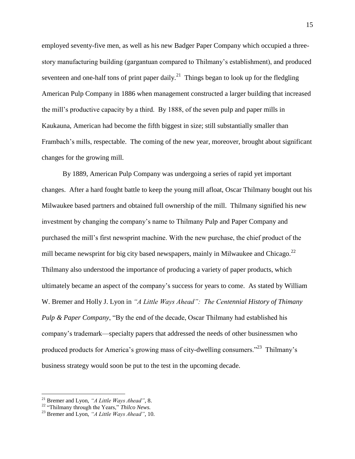employed seventy-five men, as well as his new Badger Paper Company which occupied a threestory manufacturing building (gargantuan compared to Thilmany"s establishment), and produced seventeen and one-half tons of print paper daily.<sup>21</sup> Things began to look up for the fledgling American Pulp Company in 1886 when management constructed a larger building that increased the mill"s productive capacity by a third. By 1888, of the seven pulp and paper mills in Kaukauna, American had become the fifth biggest in size; still substantially smaller than Frambach's mills, respectable. The coming of the new year, moreover, brought about significant changes for the growing mill.

By 1889, American Pulp Company was undergoing a series of rapid yet important changes. After a hard fought battle to keep the young mill afloat, Oscar Thilmany bought out his Milwaukee based partners and obtained full ownership of the mill. Thilmany signified his new investment by changing the company"s name to Thilmany Pulp and Paper Company and purchased the mill"s first newsprint machine. With the new purchase, the chief product of the mill became newsprint for big city based newspapers, mainly in Milwaukee and Chicago. $^{22}$ Thilmany also understood the importance of producing a variety of paper products, which ultimately became an aspect of the company"s success for years to come. As stated by William W. Bremer and Holly J. Lyon in *"A Little Ways Ahead": The Centennial History of Thimany Pulp & Paper Company*, "By the end of the decade, Oscar Thilmany had established his company"s trademark—specialty papers that addressed the needs of other businessmen who produced products for America's growing mass of city-dwelling consumers."<sup>23</sup> Thilmany's business strategy would soon be put to the test in the upcoming decade.

<sup>21</sup> Bremer and Lyon, *"A Little Ways Ahead"*, 8.

<sup>22</sup> "Thilmany through the Years," *Thilco News.*

<sup>23</sup> Bremer and Lyon, *"A Little Ways Ahead"*, 10.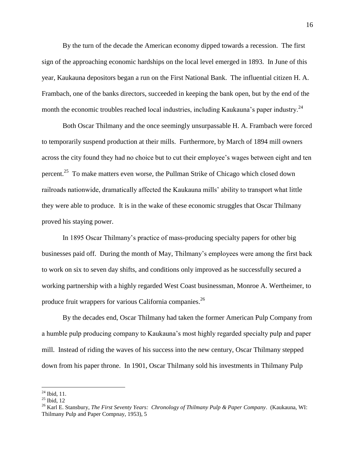By the turn of the decade the American economy dipped towards a recession. The first sign of the approaching economic hardships on the local level emerged in 1893. In June of this year, Kaukauna depositors began a run on the First National Bank. The influential citizen H. A. Frambach, one of the banks directors, succeeded in keeping the bank open, but by the end of the month the economic troubles reached local industries, including Kaukauna's paper industry.<sup>24</sup>

Both Oscar Thilmany and the once seemingly unsurpassable H. A. Frambach were forced to temporarily suspend production at their mills. Furthermore, by March of 1894 mill owners across the city found they had no choice but to cut their employee"s wages between eight and ten percent.<sup>25</sup> To make matters even worse, the Pullman Strike of Chicago which closed down railroads nationwide, dramatically affected the Kaukauna mills" ability to transport what little they were able to produce. It is in the wake of these economic struggles that Oscar Thilmany proved his staying power.

In 1895 Oscar Thilmany"s practice of mass-producing specialty papers for other big businesses paid off. During the month of May, Thilmany"s employees were among the first back to work on six to seven day shifts, and conditions only improved as he successfully secured a working partnership with a highly regarded West Coast businessman, Monroe A. Wertheimer, to produce fruit wrappers for various California companies.<sup>26</sup>

By the decades end, Oscar Thilmany had taken the former American Pulp Company from a humble pulp producing company to Kaukauna"s most highly regarded specialty pulp and paper mill. Instead of riding the waves of his success into the new century, Oscar Thilmany stepped down from his paper throne. In 1901, Oscar Thilmany sold his investments in Thilmany Pulp

 $\overline{a}$  $^{24}$  Ibid, 11.

 $^{25}$  Ibid, 12

<sup>26</sup> Karl E. Stansbury, *The First Seventy Years: Chronology of Thilmany Pulp & Paper Company*. (Kaukauna, WI: Thilmany Pulp and Paper Compnay, 1953), 5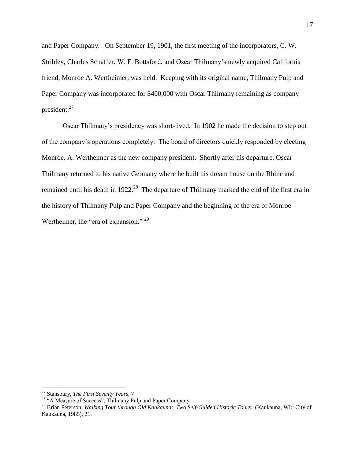and Paper Company. On September 19, 1901, the first meeting of the incorporators, C. W. Stribley, Charles Schaffer, W. F. Bottsford, and Oscar Thilmany"s newly acquired California friend, Monroe A. Wertheimer, was held. Keeping with its original name, Thilmany Pulp and Paper Company was incorporated for \$400,000 with Oscar Thilmany remaining as company president.<sup>27</sup>

Oscar Thilmany"s presidency was short-lived. In 1902 he made the decision to step out of the company"s operations completely. The board of directors quickly responded by electing Monroe. A. Wertheimer as the new company president. Shortly after his departure, Oscar Thilmany returned to his native Germany where he built his dream house on the Rhine and remained until his death in 1922.<sup>28</sup> The departure of Thilmany marked the end of the first era in the history of Thilmany Pulp and Paper Company and the beginning of the era of Monroe Wertheimer, the "era of expansion." <sup>29</sup>

<sup>27</sup> Stansbury, *The First Seventy Years*, 7

<sup>&</sup>lt;sup>28</sup> "A Measure of Success", Thilmany Pulp and Paper Company

<sup>29</sup> Brian Peterson, *Walking Tour through Old Kaukauna: Two Self-Guided Historic Tours*. (Kaukauna, WI: City of Kaukauna, 1985), 21.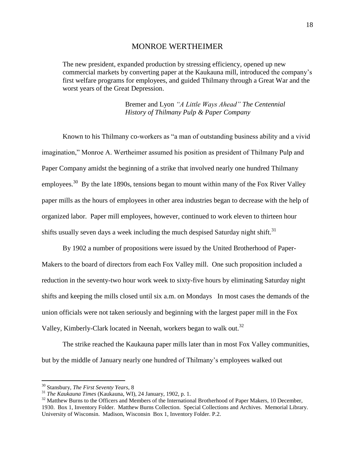#### MONROE WERTHEIMER

The new president, expanded production by stressing efficiency, opened up new commercial markets by converting paper at the Kaukauna mill, introduced the company"s first welfare programs for employees, and guided Thilmany through a Great War and the worst years of the Great Depression.

> Bremer and Lyon *"A Little Ways Ahead" The Centennial History of Thilmany Pulp & Paper Company*

Known to his Thilmany co-workers as "a man of outstanding business ability and a vivid imagination," Monroe A. Wertheimer assumed his position as president of Thilmany Pulp and Paper Company amidst the beginning of a strike that involved nearly one hundred Thilmany employees.<sup>30</sup> By the late 1890s, tensions began to mount within many of the Fox River Valley paper mills as the hours of employees in other area industries began to decrease with the help of organized labor. Paper mill employees, however, continued to work eleven to thirteen hour shifts usually seven days a week including the much despised Saturday night shift.<sup>31</sup>

By 1902 a number of propositions were issued by the United Brotherhood of Paper-Makers to the board of directors from each Fox Valley mill. One such proposition included a reduction in the seventy-two hour work week to sixty-five hours by eliminating Saturday night shifts and keeping the mills closed until six a.m. on Mondays In most cases the demands of the union officials were not taken seriously and beginning with the largest paper mill in the Fox Valley, Kimberly-Clark located in Neenah, workers began to walk out.<sup>32</sup>

The strike reached the Kaukauna paper mills later than in most Fox Valley communities, but by the middle of January nearly one hundred of Thilmany"s employees walked out

<sup>30</sup> Stansbury, *The First Seventy Years*, 8

<sup>31</sup> *The Kaukauna Times* (Kaukauna, WI), 24 January, 1902, p. 1.

<sup>&</sup>lt;sup>32</sup> Matthew Burns to the Officers and Members of the International Brotherhood of Paper Makers, 10 December, 1930. Box 1, Inventory Folder. Matthew Burns Collection. Special Collections and Archives. Memorial Library. University of Wisconsin. Madison, Wisconsin Box 1, Inventory Folder. P.2.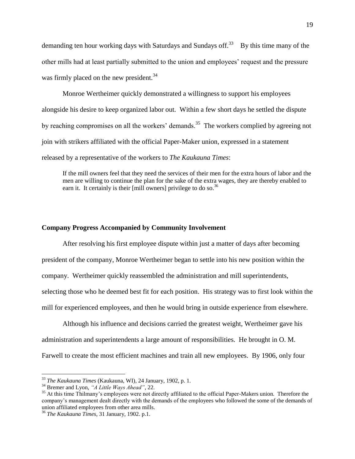demanding ten hour working days with Saturdays and Sundays off.<sup>33</sup> By this time many of the other mills had at least partially submitted to the union and employees" request and the pressure was firmly placed on the new president.<sup>34</sup>

Monroe Wertheimer quickly demonstrated a willingness to support his employees alongside his desire to keep organized labor out. Within a few short days he settled the dispute by reaching compromises on all the workers' demands.<sup>35</sup> The workers complied by agreeing not join with strikers affiliated with the official Paper-Maker union, expressed in a statement released by a representative of the workers to *The Kaukauna Times*:

If the mill owners feel that they need the services of their men for the extra hours of labor and the men are willing to continue the plan for the sake of the extra wages, they are thereby enabled to earn it. It certainly is their [mill owners] privilege to do so.<sup>36</sup>

## **Company Progress Accompanied by Community Involvement**

After resolving his first employee dispute within just a matter of days after becoming president of the company, Monroe Wertheimer began to settle into his new position within the company. Wertheimer quickly reassembled the administration and mill superintendents, selecting those who he deemed best fit for each position. His strategy was to first look within the mill for experienced employees, and then he would bring in outside experience from elsewhere.

Although his influence and decisions carried the greatest weight, Wertheimer gave his administration and superintendents a large amount of responsibilities. He brought in O. M. Farwell to create the most efficient machines and train all new employees. By 1906, only four

<sup>33</sup> *The Kaukauna Times* (Kaukauna, WI), 24 January, 1902, p. 1.

<sup>34</sup> Bremer and Lyon, *"A Little Ways Ahead"*, 22.

<sup>&</sup>lt;sup>35</sup> At this time Thilmany's employees were not directly affiliated to the official Paper-Makers union. Therefore the company"s management dealt directly with the demands of the employees who followed the some of the demands of union affiliated employees from other area mills.

<sup>36</sup> *The Kaukauna Times*, 31 January, 1902. p.1.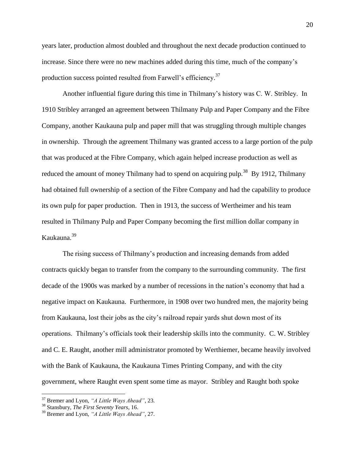years later, production almost doubled and throughout the next decade production continued to increase. Since there were no new machines added during this time, much of the company"s production success pointed resulted from Farwell's efficiency.<sup>37</sup>

Another influential figure during this time in Thilmany"s history was C. W. Stribley. In 1910 Stribley arranged an agreement between Thilmany Pulp and Paper Company and the Fibre Company, another Kaukauna pulp and paper mill that was struggling through multiple changes in ownership. Through the agreement Thilmany was granted access to a large portion of the pulp that was produced at the Fibre Company, which again helped increase production as well as reduced the amount of money Thilmany had to spend on acquiring pulp.<sup>38</sup> By 1912, Thilmany had obtained full ownership of a section of the Fibre Company and had the capability to produce its own pulp for paper production. Then in 1913, the success of Wertheimer and his team resulted in Thilmany Pulp and Paper Company becoming the first million dollar company in Kaukauna.<sup>39</sup>

The rising success of Thilmany"s production and increasing demands from added contracts quickly began to transfer from the company to the surrounding community. The first decade of the 1900s was marked by a number of recessions in the nation"s economy that had a negative impact on Kaukauna. Furthermore, in 1908 over two hundred men, the majority being from Kaukauna, lost their jobs as the city"s railroad repair yards shut down most of its operations. Thilmany"s officials took their leadership skills into the community. C. W. Stribley and C. E. Raught, another mill administrator promoted by Werthiemer, became heavily involved with the Bank of Kaukauna, the Kaukauna Times Printing Company, and with the city government, where Raught even spent some time as mayor. Stribley and Raught both spoke

<sup>37</sup> Bremer and Lyon, *"A Little Ways Ahead"*, 23.

<sup>38</sup> Stansbury, *The First Seventy Years*, 16.

<sup>39</sup> Bremer and Lyon, *"A Little Ways Ahead"*, 27.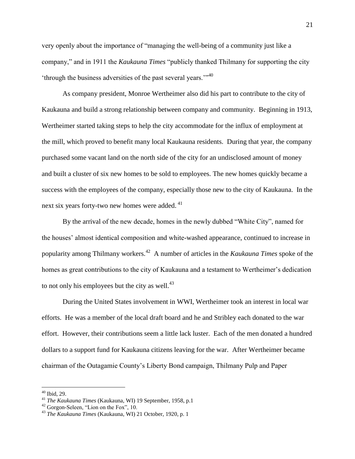very openly about the importance of "managing the well-being of a community just like a company," and in 1911 the *Kaukauna Times* "publicly thanked Thilmany for supporting the city 'through the business adversities of the past several years."<sup>40</sup>

As company president, Monroe Wertheimer also did his part to contribute to the city of Kaukauna and build a strong relationship between company and community. Beginning in 1913, Wertheimer started taking steps to help the city accommodate for the influx of employment at the mill, which proved to benefit many local Kaukauna residents. During that year, the company purchased some vacant land on the north side of the city for an undisclosed amount of money and built a cluster of six new homes to be sold to employees. The new homes quickly became a success with the employees of the company, especially those new to the city of Kaukauna. In the next six years forty-two new homes were added.<sup>41</sup>

By the arrival of the new decade, homes in the newly dubbed "White City", named for the houses" almost identical composition and white-washed appearance, continued to increase in popularity among Thilmany workers.<sup>42</sup> A number of articles in the *Kaukauna Times* spoke of the homes as great contributions to the city of Kaukauna and a testament to Wertheimer's dedication to not only his employees but the city as well. $^{43}$ 

During the United States involvement in WWI, Wertheimer took an interest in local war efforts. He was a member of the local draft board and he and Stribley each donated to the war effort. However, their contributions seem a little lack luster. Each of the men donated a hundred dollars to a support fund for Kaukauna citizens leaving for the war. After Wertheimer became chairman of the Outagamie County"s Liberty Bond campaign, Thilmany Pulp and Paper

 $40$  Ibid, 29.

<sup>41</sup> *The Kaukauna Times* (Kaukauna, WI) 19 September, 1958, p.1

<sup>42</sup> Gorgon-Seleen, "Lion on the Fox", 10.

<sup>43</sup> *The Kaukauna Times* (Kaukauna, WI) 21 October, 1920, p. 1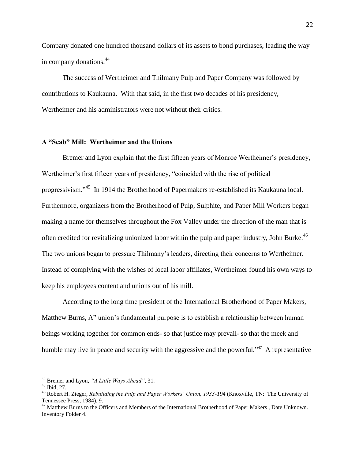Company donated one hundred thousand dollars of its assets to bond purchases, leading the way in company donations.<sup>44</sup>

The success of Wertheimer and Thilmany Pulp and Paper Company was followed by contributions to Kaukauna. With that said, in the first two decades of his presidency, Wertheimer and his administrators were not without their critics.

## **A "Scab" Mill: Wertheimer and the Unions**

Bremer and Lyon explain that the first fifteen years of Monroe Wertheimer's presidency, Wertheimer's first fifteen years of presidency, "coincided with the rise of political progressivism."<sup>45</sup> In 1914 the Brotherhood of Papermakers re-established its Kaukauna local. Furthermore, organizers from the Brotherhood of Pulp, Sulphite, and Paper Mill Workers began making a name for themselves throughout the Fox Valley under the direction of the man that is often credited for revitalizing unionized labor within the pulp and paper industry, John Burke.<sup>46</sup> The two unions began to pressure Thilmany"s leaders, directing their concerns to Wertheimer. Instead of complying with the wishes of local labor affiliates, Wertheimer found his own ways to keep his employees content and unions out of his mill.

According to the long time president of the International Brotherhood of Paper Makers, Matthew Burns, A" union's fundamental purpose is to establish a relationship between human beings working together for common ends- so that justice may prevail- so that the meek and humble may live in peace and security with the aggressive and the powerful."<sup>47</sup> A representative

<sup>44</sup> Bremer and Lyon, *"A Little Ways Ahead"*, 31.

 $45$  Ibid, 27.

<sup>46</sup> Robert H. Zieger, *Rebuilding the Pulp and Paper Workers' Union, 1933-194* (Knoxville, TN: The University of Tennessee Press, 1984), 9.

<sup>&</sup>lt;sup>47</sup> Matthew Burns to the Officers and Members of the International Brotherhood of Paper Makers, Date Unknown. Inventory Folder 4.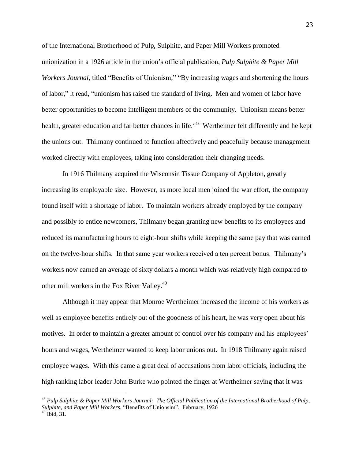of the International Brotherhood of Pulp, Sulphite, and Paper Mill Workers promoted unionization in a 1926 article in the union"s official publication, *Pulp Sulphite & Paper Mill Workers Journal*, titled "Benefits of Unionism," "By increasing wages and shortening the hours of labor," it read, "unionism has raised the standard of living. Men and women of labor have better opportunities to become intelligent members of the community. Unionism means better health, greater education and far better chances in life."<sup>48</sup> Wertheimer felt differently and he kept the unions out. Thilmany continued to function affectively and peacefully because management worked directly with employees, taking into consideration their changing needs.

In 1916 Thilmany acquired the Wisconsin Tissue Company of Appleton, greatly increasing its employable size. However, as more local men joined the war effort, the company found itself with a shortage of labor. To maintain workers already employed by the company and possibly to entice newcomers, Thilmany began granting new benefits to its employees and reduced its manufacturing hours to eight-hour shifts while keeping the same pay that was earned on the twelve-hour shifts. In that same year workers received a ten percent bonus. Thilmany"s workers now earned an average of sixty dollars a month which was relatively high compared to other mill workers in the Fox River Valley.<sup>49</sup>

Although it may appear that Monroe Wertheimer increased the income of his workers as well as employee benefits entirely out of the goodness of his heart, he was very open about his motives. In order to maintain a greater amount of control over his company and his employees' hours and wages, Wertheimer wanted to keep labor unions out. In 1918 Thilmany again raised employee wages. With this came a great deal of accusations from labor officials, including the high ranking labor leader John Burke who pointed the finger at Wertheimer saying that it was

<sup>48</sup> *Pulp Sulphite & Paper Mill Workers Journal: The Official Publication of the International Brotherhood of Pulp, Sulphite, and Paper Mill Workers*, "Benefits of Unionsim". February, 1926  $49$  Ibid, 31.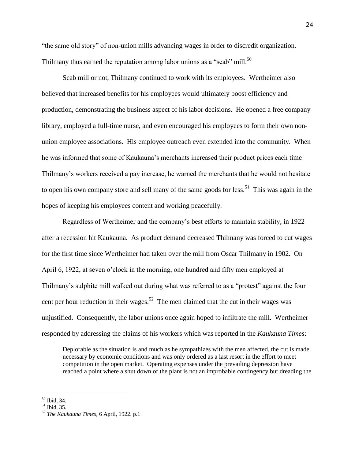"the same old story" of non-union mills advancing wages in order to discredit organization. Thilmany thus earned the reputation among labor unions as a "scab" mill.<sup>50</sup>

Scab mill or not, Thilmany continued to work with its employees. Wertheimer also believed that increased benefits for his employees would ultimately boost efficiency and production, demonstrating the business aspect of his labor decisions. He opened a free company library, employed a full-time nurse, and even encouraged his employees to form their own nonunion employee associations. His employee outreach even extended into the community. When he was informed that some of Kaukauna"s merchants increased their product prices each time Thilmany"s workers received a pay increase, he warned the merchants that he would not hesitate to open his own company store and sell many of the same goods for less.<sup>51</sup> This was again in the hopes of keeping his employees content and working peacefully.

Regardless of Wertheimer and the company"s best efforts to maintain stability, in 1922 after a recession hit Kaukauna. As product demand decreased Thilmany was forced to cut wages for the first time since Wertheimer had taken over the mill from Oscar Thilmany in 1902. On April 6, 1922, at seven o'clock in the morning, one hundred and fifty men employed at Thilmany's sulphite mill walked out during what was referred to as a "protest" against the four cent per hour reduction in their wages.<sup>52</sup> The men claimed that the cut in their wages was unjustified. Consequently, the labor unions once again hoped to infiltrate the mill. Wertheimer responded by addressing the claims of his workers which was reported in the *Kaukauna Times*:

Deplorable as the situation is and much as he sympathizes with the men affected, the cut is made necessary by economic conditions and was only ordered as a last resort in the effort to meet competition in the open market. Operating expenses under the prevailing depression have reached a point where a shut down of the plant is not an improbable contingency but dreading the

<sup>50</sup> Ibid, 34.

 $51$  Ibid. 35.

<sup>52</sup> *The Kaukauna Times*, 6 April, 1922. p.1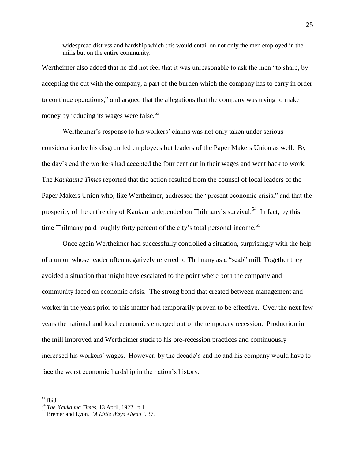widespread distress and hardship which this would entail on not only the men employed in the mills but on the entire community.

Wertheimer also added that he did not feel that it was unreasonable to ask the men "to share, by accepting the cut with the company, a part of the burden which the company has to carry in order to continue operations," and argued that the allegations that the company was trying to make money by reducing its wages were false.<sup>53</sup>

Wertheimer's response to his workers' claims was not only taken under serious consideration by his disgruntled employees but leaders of the Paper Makers Union as well. By the day"s end the workers had accepted the four cent cut in their wages and went back to work. The *Kaukauna Times* reported that the action resulted from the counsel of local leaders of the Paper Makers Union who, like Wertheimer, addressed the "present economic crisis," and that the prosperity of the entire city of Kaukauna depended on Thilmany's survival.<sup>54</sup> In fact, by this time Thilmany paid roughly forty percent of the city's total personal income.<sup>55</sup>

Once again Wertheimer had successfully controlled a situation, surprisingly with the help of a union whose leader often negatively referred to Thilmany as a "scab" mill. Together they avoided a situation that might have escalated to the point where both the company and community faced on economic crisis. The strong bond that created between management and worker in the years prior to this matter had temporarily proven to be effective. Over the next few years the national and local economies emerged out of the temporary recession. Production in the mill improved and Wertheimer stuck to his pre-recession practices and continuously increased his workers' wages. However, by the decade's end he and his company would have to face the worst economic hardship in the nation"s history.

<sup>53</sup> Ibid

<sup>54</sup> *The Kaukauna Times*, 13 April, 1922. p.1.

<sup>55</sup> Bremer and Lyon, *"A Little Ways Ahead"*, 37.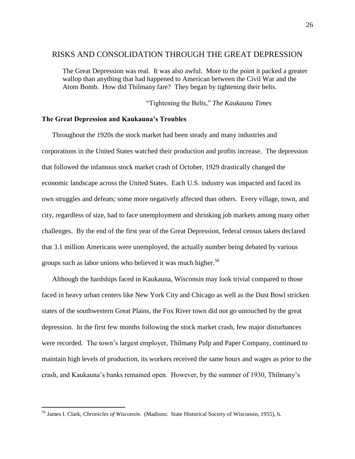## RISKS AND CONSOLIDATION THROUGH THE GREAT DEPRESSION

The Great Depression was real. It was also awful. More to the point it packed a greater wallop than anything that had happened to American between the Civil War and the Atom Bomb. How did Thilmany fare? They began by tightening their belts.

"Tightening the Belts," *The Kaukauna Times*

#### **The Great Depression and Kaukauna's Troubles**

Throughout the 1920s the stock market had been steady and many industries and corporations in the United States watched their production and profits increase. The depression that followed the infamous stock market crash of October, 1929 drastically changed the economic landscape across the United States. Each U.S. industry was impacted and faced its own struggles and defeats; some more negatively affected than others. Every village, town, and city, regardless of size, had to face unemployment and shrinking job markets among many other challenges. By the end of the first year of the Great Depression, federal census takers declared that 3.1 million Americans were unemployed, the actually number being debated by various groups such as labor unions who believed it was much higher.<sup>56</sup>

Although the hardships faced in Kaukauna, Wisconsin may look trivial compared to those faced in heavy urban centers like New York City and Chicago as well as the Dust Bowl stricken states of the southwestern Great Plains, the Fox River town did not go untouched by the great depression. In the first few months following the stock market crash, few major disturbances were recorded. The town"s largest employer, Thilmany Pulp and Paper Company, continued to maintain high levels of production, its workers received the same hours and wages as prior to the crash, and Kaukauna"s banks remained open. However, by the summer of 1930, Thilmany"s

<sup>56</sup> James I. Clark, *Chronicles of Wisconsin*. (Madison: State Historical Society of Wisconsin, 1955), 6.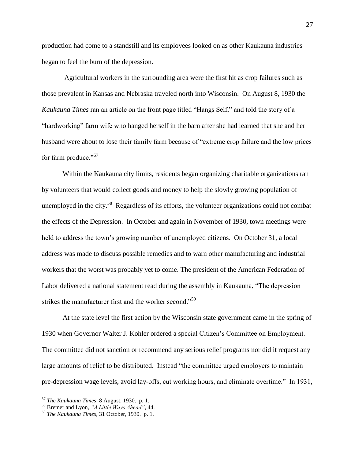production had come to a standstill and its employees looked on as other Kaukauna industries began to feel the burn of the depression.

 Agricultural workers in the surrounding area were the first hit as crop failures such as those prevalent in Kansas and Nebraska traveled north into Wisconsin. On August 8, 1930 the *Kaukauna Times* ran an article on the front page titled "Hangs Self," and told the story of a "hardworking" farm wife who hanged herself in the barn after she had learned that she and her husband were about to lose their family farm because of "extreme crop failure and the low prices for farm produce."<sup>57</sup>

Within the Kaukauna city limits, residents began organizing charitable organizations ran by volunteers that would collect goods and money to help the slowly growing population of unemployed in the city.<sup>58</sup> Regardless of its efforts, the volunteer organizations could not combat the effects of the Depression. In October and again in November of 1930, town meetings were held to address the town's growing number of unemployed citizens. On October 31, a local address was made to discuss possible remedies and to warn other manufacturing and industrial workers that the worst was probably yet to come. The president of the American Federation of Labor delivered a national statement read during the assembly in Kaukauna, "The depression strikes the manufacturer first and the worker second."<sup>59</sup>

At the state level the first action by the Wisconsin state government came in the spring of 1930 when Governor Walter J. Kohler ordered a special Citizen"s Committee on Employment. The committee did not sanction or recommend any serious relief programs nor did it request any large amounts of relief to be distributed. Instead "the committee urged employers to maintain pre-depression wage levels, avoid lay-offs, cut working hours, and eliminate overtime." In 1931,

<sup>57</sup> *The Kaukauna Times*, 8 August, 1930. p. 1.

<sup>58</sup> Bremer and Lyon, *"A Little Ways Ahead"*, 44.

<sup>59</sup> *The Kaukauna Times*, 31 October, 1930. p. 1.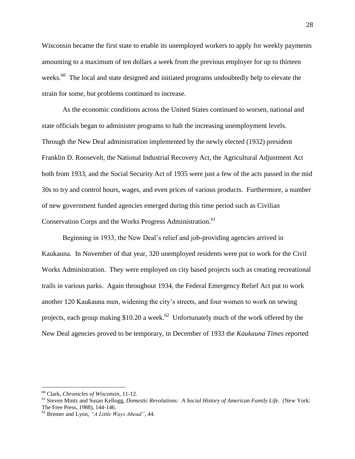Wisconsin became the first state to enable its unemployed workers to apply for weekly payments amounting to a maximum of ten dollars a week from the previous employer for up to thirteen weeks.<sup>60</sup> The local and state designed and initiated programs undoubtedly help to elevate the strain for some, but problems continued to increase.

As the economic conditions across the United States continued to worsen, national and state officials began to administer programs to halt the increasing unemployment levels. Through the New Deal administration implemented by the newly elected (1932) president Franklin D. Roosevelt, the National Industrial Recovery Act, the Agricultural Adjustment Act both from 1933, and the Social Security Act of 1935 were just a few of the acts passed in the mid 30s to try and control hours, wages, and even prices of various products. Furthermore, a number of new government funded agencies emerged during this time period such as Civilian Conservation Corps and the Works Progress Administration.<sup>61</sup>

Beginning in 1933, the New Deal"s relief and job-providing agencies arrived in Kaukauna. In November of that year, 320 unemployed residents were put to work for the Civil Works Administration. They were employed on city based projects such as creating recreational trails in various parks. Again throughout 1934, the Federal Emergency Relief Act put to work another 120 Kaukauna men, widening the city"s streets, and four women to work on sewing projects, each group making \$10.20 a week.<sup>62</sup> Unfortunately much of the work offered by the New Deal agencies proved to be temporary, in December of 1933 the *Kaukauna Times* reported

<sup>60</sup> Clark, *Chronicles of Wisconsin*, 11-12.

<sup>61</sup> Steven Mintz and Susan Kellogg, *Domestic Revolutions: A Social History of American Family Life*. (New York: The Free Press, 1988), 144-146.

<sup>62</sup> Bremer and Lyon, *"A Little Ways Ahead"*, 44.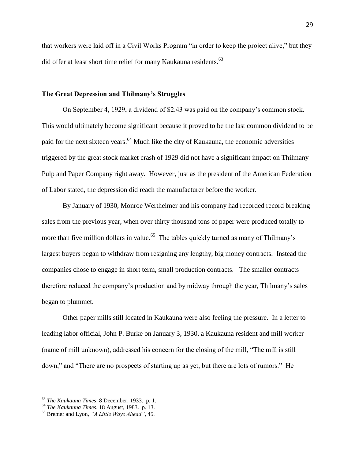that workers were laid off in a Civil Works Program "in order to keep the project alive," but they did offer at least short time relief for many Kaukauna residents.<sup>63</sup>

#### **The Great Depression and Thilmany's Struggles**

On September 4, 1929, a dividend of \$2.43 was paid on the company"s common stock. This would ultimately become significant because it proved to be the last common dividend to be paid for the next sixteen years.<sup>64</sup> Much like the city of Kaukauna, the economic adversities triggered by the great stock market crash of 1929 did not have a significant impact on Thilmany Pulp and Paper Company right away. However, just as the president of the American Federation of Labor stated, the depression did reach the manufacturer before the worker.

By January of 1930, Monroe Wertheimer and his company had recorded record breaking sales from the previous year, when over thirty thousand tons of paper were produced totally to more than five million dollars in value.<sup>65</sup> The tables quickly turned as many of Thilmany's largest buyers began to withdraw from resigning any lengthy, big money contracts. Instead the companies chose to engage in short term, small production contracts. The smaller contracts therefore reduced the company"s production and by midway through the year, Thilmany"s sales began to plummet.

Other paper mills still located in Kaukauna were also feeling the pressure. In a letter to leading labor official, John P. Burke on January 3, 1930, a Kaukauna resident and mill worker (name of mill unknown), addressed his concern for the closing of the mill, "The mill is still down," and "There are no prospects of starting up as yet, but there are lots of rumors." He

<sup>63</sup> *The Kaukauna Times*, 8 December, 1933. p. 1.

<sup>64</sup> *The Kaukauna Times*, 18 August, 1983. p. 13.

<sup>65</sup> Bremer and Lyon, *"A Little Ways Ahead"*, 45.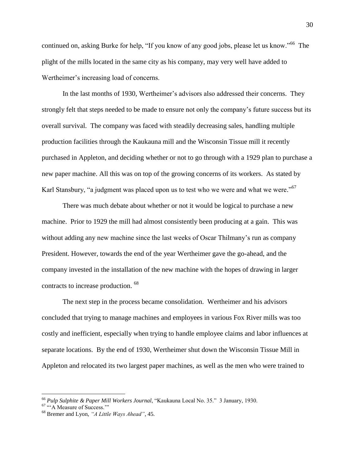continued on, asking Burke for help, "If you know of any good jobs, please let us know."<sup>66</sup> The plight of the mills located in the same city as his company, may very well have added to Wertheimer's increasing load of concerns.

In the last months of 1930, Wertheimer's advisors also addressed their concerns. They strongly felt that steps needed to be made to ensure not only the company"s future success but its overall survival. The company was faced with steadily decreasing sales, handling multiple production facilities through the Kaukauna mill and the Wisconsin Tissue mill it recently purchased in Appleton, and deciding whether or not to go through with a 1929 plan to purchase a new paper machine. All this was on top of the growing concerns of its workers. As stated by Karl Stansbury, "a judgment was placed upon us to test who we were and what we were."<sup>67</sup>

There was much debate about whether or not it would be logical to purchase a new machine. Prior to 1929 the mill had almost consistently been producing at a gain. This was without adding any new machine since the last weeks of Oscar Thilmany's run as company President. However, towards the end of the year Wertheimer gave the go-ahead, and the company invested in the installation of the new machine with the hopes of drawing in larger contracts to increase production. <sup>68</sup>

The next step in the process became consolidation. Wertheimer and his advisors concluded that trying to manage machines and employees in various Fox River mills was too costly and inefficient, especially when trying to handle employee claims and labor influences at separate locations. By the end of 1930, Wertheimer shut down the Wisconsin Tissue Mill in Appleton and relocated its two largest paper machines, as well as the men who were trained to

<sup>66</sup> *Pulp Sulphite & Paper Mill Workers Journal*, "Kaukauna Local No. 35." 3 January, 1930.

<sup>&</sup>lt;sup>67</sup> "A Measure of Success.""

<sup>68</sup> Bremer and Lyon, *"A Little Ways Ahead"*, 45.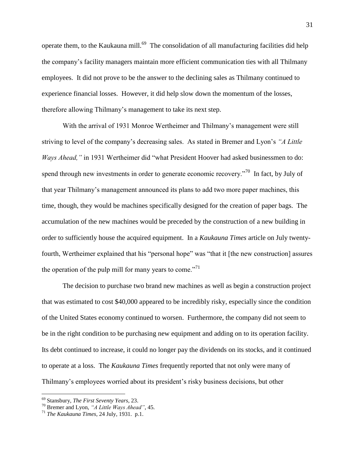operate them, to the Kaukauna mill.<sup>69</sup> The consolidation of all manufacturing facilities did help the company"s facility managers maintain more efficient communication ties with all Thilmany employees. It did not prove to be the answer to the declining sales as Thilmany continued to experience financial losses. However, it did help slow down the momentum of the losses, therefore allowing Thilmany"s management to take its next step.

With the arrival of 1931 Monroe Wertheimer and Thilmany"s management were still striving to level of the company"s decreasing sales. As stated in Bremer and Lyon"s *"A Little Ways Ahead,"* in 1931 Wertheimer did "what President Hoover had asked businessmen to do: spend through new investments in order to generate economic recovery.<sup> $70$ </sup> In fact, by July of that year Thilmany"s management announced its plans to add two more paper machines, this time, though, they would be machines specifically designed for the creation of paper bags. The accumulation of the new machines would be preceded by the construction of a new building in order to sufficiently house the acquired equipment. In a *Kaukauna Times* article on July twentyfourth, Wertheimer explained that his "personal hope" was "that it [the new construction] assures the operation of the pulp mill for many years to come."<sup>71</sup>

The decision to purchase two brand new machines as well as begin a construction project that was estimated to cost \$40,000 appeared to be incredibly risky, especially since the condition of the United States economy continued to worsen. Furthermore, the company did not seem to be in the right condition to be purchasing new equipment and adding on to its operation facility. Its debt continued to increase, it could no longer pay the dividends on its stocks, and it continued to operate at a loss. The *Kaukauna Times* frequently reported that not only were many of Thilmany's employees worried about its president's risky business decisions, but other

<sup>69</sup> Stansbury, *The First Seventy Years*, 23.

<sup>70</sup> Bremer and Lyon, *"A Little Ways Ahead"*, 45.

<sup>71</sup> *The Kaukauna Times*, 24 July, 1931. p.1.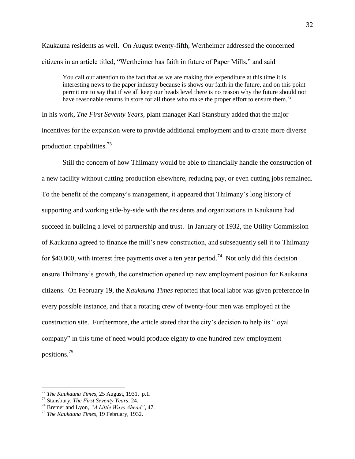Kaukauna residents as well. On August twenty-fifth, Wertheimer addressed the concerned citizens in an article titled, "Wertheimer has faith in future of Paper Mills," and said

You call our attention to the fact that as we are making this expenditure at this time it is interesting news to the paper industry because is shows our faith in the future, and on this point permit me to say that if we all keep our heads level there is no reason why the future should not have reasonable returns in store for all those who make the proper effort to ensure them.<sup>72</sup>

In his work, *The First Seventy Years*, plant manager Karl Stansbury added that the major incentives for the expansion were to provide additional employment and to create more diverse production capabilities. $^{73}$ 

Still the concern of how Thilmany would be able to financially handle the construction of a new facility without cutting production elsewhere, reducing pay, or even cutting jobs remained. To the benefit of the company"s management, it appeared that Thilmany"s long history of supporting and working side-by-side with the residents and organizations in Kaukauna had succeed in building a level of partnership and trust. In January of 1932, the Utility Commission of Kaukauna agreed to finance the mill"s new construction, and subsequently sell it to Thilmany for \$40,000, with interest free payments over a ten year period.<sup>74</sup> Not only did this decision ensure Thilmany"s growth, the construction opened up new employment position for Kaukauna citizens. On February 19, the *Kaukauna Times* reported that local labor was given preference in every possible instance, and that a rotating crew of twenty-four men was employed at the construction site. Furthermore, the article stated that the city"s decision to help its "loyal company" in this time of need would produce eighty to one hundred new employment positions.<sup>75</sup>

<sup>72</sup> *The Kaukauna Times*, 25 August, 1931. p.1.

<sup>73</sup> Stansbury, *The First Seventy Years*, 24.

<sup>74</sup> Bremer and Lyon, *"A Little Ways Ahead"*, 47.

<sup>75</sup> *The Kaukauna Times*, 19 February, 1932.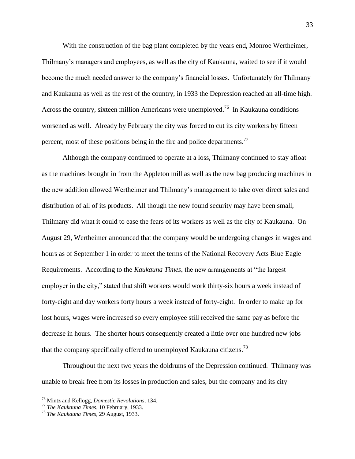With the construction of the bag plant completed by the years end, Monroe Wertheimer, Thilmany"s managers and employees, as well as the city of Kaukauna, waited to see if it would become the much needed answer to the company"s financial losses. Unfortunately for Thilmany and Kaukauna as well as the rest of the country, in 1933 the Depression reached an all-time high. Across the country, sixteen million Americans were unemployed.<sup>76</sup> In Kaukauna conditions worsened as well. Already by February the city was forced to cut its city workers by fifteen percent, most of these positions being in the fire and police departments.<sup>77</sup>

Although the company continued to operate at a loss, Thilmany continued to stay afloat as the machines brought in from the Appleton mill as well as the new bag producing machines in the new addition allowed Wertheimer and Thilmany"s management to take over direct sales and distribution of all of its products. All though the new found security may have been small, Thilmany did what it could to ease the fears of its workers as well as the city of Kaukauna. On August 29, Wertheimer announced that the company would be undergoing changes in wages and hours as of September 1 in order to meet the terms of the National Recovery Acts Blue Eagle Requirements. According to the *Kaukauna Times*, the new arrangements at "the largest employer in the city," stated that shift workers would work thirty-six hours a week instead of forty-eight and day workers forty hours a week instead of forty-eight. In order to make up for lost hours, wages were increased so every employee still received the same pay as before the decrease in hours. The shorter hours consequently created a little over one hundred new jobs that the company specifically offered to unemployed Kaukauna citizens.<sup>78</sup>

Throughout the next two years the doldrums of the Depression continued. Thilmany was unable to break free from its losses in production and sales, but the company and its city

<sup>76</sup> Mintz and Kellogg, *Domestic Revolutions*, 134.

<sup>77</sup> *The Kaukauna Times*, 10 February, 1933.

<sup>78</sup> *The Kaukauna Times*, 29 August, 1933.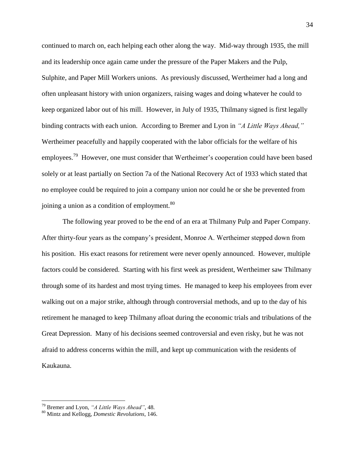continued to march on, each helping each other along the way. Mid-way through 1935, the mill and its leadership once again came under the pressure of the Paper Makers and the Pulp, Sulphite, and Paper Mill Workers unions. As previously discussed, Wertheimer had a long and often unpleasant history with union organizers, raising wages and doing whatever he could to keep organized labor out of his mill. However, in July of 1935, Thilmany signed is first legally binding contracts with each union. According to Bremer and Lyon in *"A Little Ways Ahead,"* Wertheimer peacefully and happily cooperated with the labor officials for the welfare of his employees.<sup>79</sup> However, one must consider that Wertheimer's cooperation could have been based solely or at least partially on Section 7a of the National Recovery Act of 1933 which stated that no employee could be required to join a company union nor could he or she be prevented from joining a union as a condition of employment. $80$ 

The following year proved to be the end of an era at Thilmany Pulp and Paper Company. After thirty-four years as the company"s president, Monroe A. Wertheimer stepped down from his position. His exact reasons for retirement were never openly announced. However, multiple factors could be considered. Starting with his first week as president, Wertheimer saw Thilmany through some of its hardest and most trying times. He managed to keep his employees from ever walking out on a major strike, although through controversial methods, and up to the day of his retirement he managed to keep Thilmany afloat during the economic trials and tribulations of the Great Depression. Many of his decisions seemed controversial and even risky, but he was not afraid to address concerns within the mill, and kept up communication with the residents of Kaukauna.

<sup>79</sup> Bremer and Lyon, *"A Little Ways Ahead"*, 48.

<sup>80</sup> Mintz and Kellogg, *Domestic Revolutions*, 146.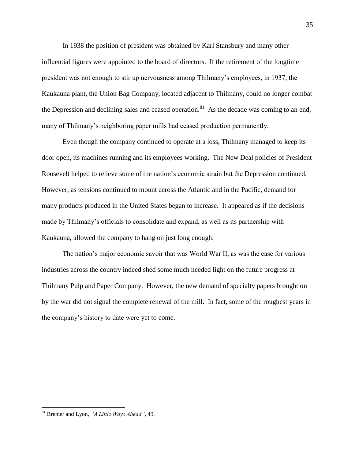In 1938 the position of president was obtained by Karl Stansbury and many other influential figures were appointed to the board of directors. If the retirement of the longtime president was not enough to stir up nervousness among Thilmany"s employees, in 1937, the Kaukauna plant, the Union Bag Company, located adjacent to Thilmany, could no longer combat the Depression and declining sales and ceased operation.<sup>81</sup> As the decade was coming to an end, many of Thilmany's neighboring paper mills had ceased production permanently.

Even though the company continued to operate at a loss, Thilmany managed to keep its door open, its machines running and its employees working. The New Deal policies of President Roosevelt helped to relieve some of the nation"s economic strain but the Depression continued. However, as tensions continued to mount across the Atlantic and in the Pacific, demand for many products produced in the United States began to increase. It appeared as if the decisions made by Thilmany"s officials to consolidate and expand, as well as its partnership with Kaukauna, allowed the company to hang on just long enough.

The nation"s major economic savoir that was World War II, as was the case for various industries across the country indeed shed some much needed light on the future progress at Thilmany Pulp and Paper Company. However, the new demand of specialty papers brought on by the war did not signal the complete renewal of the mill. In fact, some of the roughest years in the company"s history to date were yet to come.

<sup>81</sup> Bremer and Lyon, *"A Little Ways Ahead"*, 49.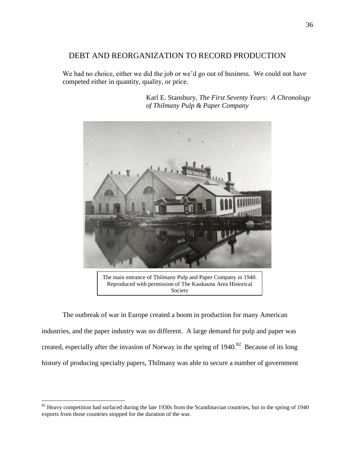## DEBT AND REORGANIZATION TO RECORD PRODUCTION

We had no choice, either we did the job or we'd go out of business. We could not have competed either in quantity, quality, or price.



Karl E. Stansbury, *The First Seventy Years: A Chronology of Thilmany Pulp & Paper Company*

The main entrance of Thilmany Pulp and Paper Company in 1940. Reproduced with permission of The Kaukauna Area Historical Society

The outbreak of war in Europe created a boom in production for many American industries, and the paper industry was no different. A large demand for pulp and paper was created, especially after the invasion of Norway in the spring of  $1940$ .<sup>82</sup> Because of its long history of producing specialty papers, Thilmany was able to secure a number of government

 $82$  Heavy competition had surfaced during the late 1930s from the Scandinavian countries, but in the spring of 1940 exports from those countries stopped for the duration of the war.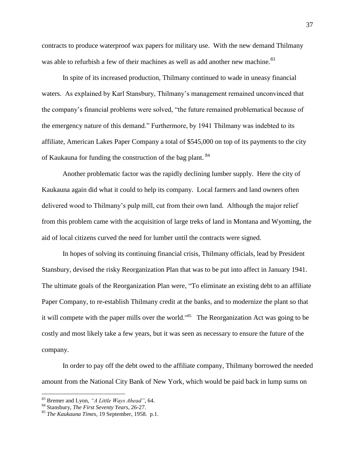contracts to produce waterproof wax papers for military use. With the new demand Thilmany was able to refurbish a few of their machines as well as add another new machine.<sup>83</sup>

In spite of its increased production, Thilmany continued to wade in uneasy financial waters. As explained by Karl Stansbury, Thilmany"s management remained unconvinced that the company"s financial problems were solved, "the future remained problematical because of the emergency nature of this demand." Furthermore, by 1941 Thilmany was indebted to its affiliate, American Lakes Paper Company a total of \$545,000 on top of its payments to the city of Kaukauna for funding the construction of the bag plant. <sup>84</sup>

Another problematic factor was the rapidly declining lumber supply. Here the city of Kaukauna again did what it could to help its company. Local farmers and land owners often delivered wood to Thilmany's pulp mill, cut from their own land. Although the major relief from this problem came with the acquisition of large treks of land in Montana and Wyoming, the aid of local citizens curved the need for lumber until the contracts were signed.

In hopes of solving its continuing financial crisis, Thilmany officials, lead by President Stansbury, devised the risky Reorganization Plan that was to be put into affect in January 1941. The ultimate goals of the Reorganization Plan were, "To eliminate an existing debt to an affiliate Paper Company, to re-establish Thilmany credit at the banks, and to modernize the plant so that it will compete with the paper mills over the world.<sup>385</sup> The Reorganization Act was going to be costly and most likely take a few years, but it was seen as necessary to ensure the future of the company.

In order to pay off the debt owed to the affiliate company, Thilmany borrowed the needed amount from the National City Bank of New York, which would be paid back in lump sums on

<sup>83</sup> Bremer and Lyon, *"A Little Ways Ahead"*, 64.

<sup>84</sup> Stansbury, *The First Seventy Years*, 26-27.

<sup>85</sup> *The Kaukauna Times*, 19 September, 1958. p.1.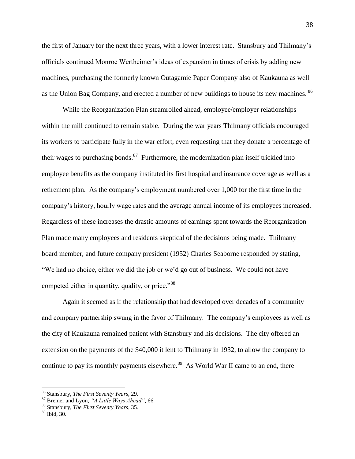the first of January for the next three years, with a lower interest rate. Stansbury and Thilmany"s officials continued Monroe Wertheimer"s ideas of expansion in times of crisis by adding new machines, purchasing the formerly known Outagamie Paper Company also of Kaukauna as well as the Union Bag Company, and erected a number of new buildings to house its new machines. <sup>86</sup>

While the Reorganization Plan steamrolled ahead, employee/employer relationships within the mill continued to remain stable. During the war years Thilmany officials encouraged its workers to participate fully in the war effort, even requesting that they donate a percentage of their wages to purchasing bonds.<sup>87</sup> Furthermore, the modernization plan itself trickled into employee benefits as the company instituted its first hospital and insurance coverage as well as a retirement plan. As the company"s employment numbered over 1,000 for the first time in the company"s history, hourly wage rates and the average annual income of its employees increased. Regardless of these increases the drastic amounts of earnings spent towards the Reorganization Plan made many employees and residents skeptical of the decisions being made. Thilmany board member, and future company president (1952) Charles Seaborne responded by stating, "We had no choice, either we did the job or we'd go out of business. We could not have competed either in quantity, quality, or price."<sup>88</sup>

Again it seemed as if the relationship that had developed over decades of a community and company partnership swung in the favor of Thilmany. The company"s employees as well as the city of Kaukauna remained patient with Stansbury and his decisions. The city offered an extension on the payments of the \$40,000 it lent to Thilmany in 1932, to allow the company to continue to pay its monthly payments elsewhere.<sup>89</sup> As World War II came to an end, there

<sup>86</sup> Stansbury, *The First Seventy Years*, 29.

<sup>87</sup> Bremer and Lyon, *"A Little Ways Ahead"*, 66.

<sup>88</sup> Stansbury, *The First Seventy Years*, 35.

<sup>89</sup> Ibid, 30.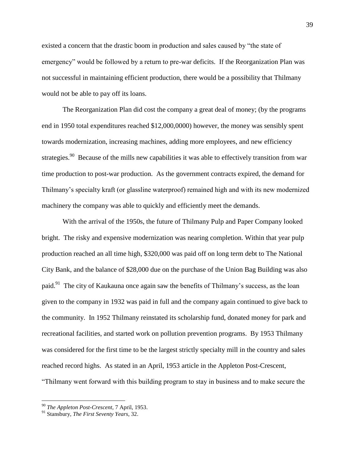existed a concern that the drastic boom in production and sales caused by "the state of emergency" would be followed by a return to pre-war deficits. If the Reorganization Plan was not successful in maintaining efficient production, there would be a possibility that Thilmany would not be able to pay off its loans.

The Reorganization Plan did cost the company a great deal of money; (by the programs end in 1950 total expenditures reached \$12,000,0000) however, the money was sensibly spent towards modernization, increasing machines, adding more employees, and new efficiency strategies.<sup>90</sup> Because of the mills new capabilities it was able to effectively transition from war time production to post-war production. As the government contracts expired, the demand for Thilmany"s specialty kraft (or glassline waterproof) remained high and with its new modernized machinery the company was able to quickly and efficiently meet the demands.

With the arrival of the 1950s, the future of Thilmany Pulp and Paper Company looked bright. The risky and expensive modernization was nearing completion. Within that year pulp production reached an all time high, \$320,000 was paid off on long term debt to The National City Bank, and the balance of \$28,000 due on the purchase of the Union Bag Building was also paid.<sup>91</sup> The city of Kaukauna once again saw the benefits of Thilmany's success, as the loan given to the company in 1932 was paid in full and the company again continued to give back to the community. In 1952 Thilmany reinstated its scholarship fund, donated money for park and recreational facilities, and started work on pollution prevention programs. By 1953 Thilmany was considered for the first time to be the largest strictly specialty mill in the country and sales reached record highs. As stated in an April, 1953 article in the Appleton Post-Crescent, "Thilmany went forward with this building program to stay in business and to make secure the

<sup>90</sup> *The Appleton Post-Crescent*, 7 April, 1953.

<sup>91</sup> Stansbury, *The First Seventy Years*, 32.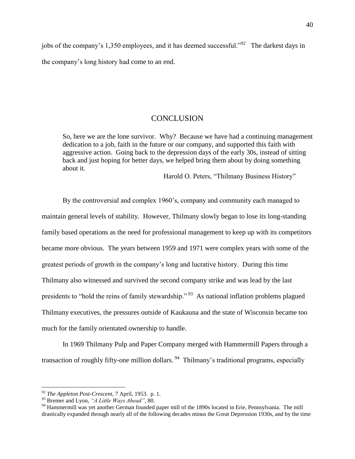jobs of the company's 1,350 employees, and it has deemed successful."<sup>92</sup> The darkest days in the company"s long history had come to an end.

## **CONCLUSION**

So, here we are the lone survivor. Why? Because we have had a continuing management dedication to a job, faith in the future or our company, and supported this faith with aggressive action. Going back to the depression days of the early 30s, instead of sitting back and just hoping for better days, we helped bring them about by doing something about it.

Harold O. Peters, "Thilmany Business History"

By the controversial and complex 1960's, company and community each managed to maintain general levels of stability. However, Thilmany slowly began to lose its long-standing family based operations as the need for professional management to keep up with its competitors became more obvious. The years between 1959 and 1971 were complex years with some of the greatest periods of growth in the company"s long and lucrative history. During this time Thilmany also witnessed and survived the second company strike and was lead by the last presidents to "hold the reins of family stewardship."<sup>93</sup> As national inflation problems plagued Thilmany executives, the pressures outside of Kaukauna and the state of Wisconsin became too much for the family orientated ownership to handle.

In 1969 Thilmany Pulp and Paper Company merged with Hammermill Papers through a transaction of roughly fifty-one million dollars.<sup>94</sup> Thilmany's traditional programs, especially

<sup>92</sup> *The Appleton Post-Crescent*, 7 April, 1953. p. 1.

<sup>93</sup> Bremer and Lyon, *"A Little Ways Ahead"*, 80.

<sup>&</sup>lt;sup>94</sup> Hammermill was yet another German founded paper mill of the 1890s located in Erie, Pennsylvania. The mill drastically expanded through nearly all of the following decades minus the Great Depression 1930s, and by the time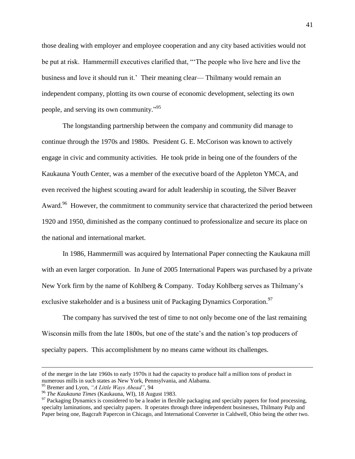those dealing with employer and employee cooperation and any city based activities would not be put at risk. Hammermill executives clarified that, ""The people who live here and live the business and love it should run it." Their meaning clear— Thilmany would remain an independent company, plotting its own course of economic development, selecting its own people, and serving its own community."<sup>95</sup>

The longstanding partnership between the company and community did manage to continue through the 1970s and 1980s. President G. E. McCorison was known to actively engage in civic and community activities. He took pride in being one of the founders of the Kaukauna Youth Center, was a member of the executive board of the Appleton YMCA, and even received the highest scouting award for adult leadership in scouting, the Silver Beaver Award.<sup>96</sup> However, the commitment to community service that characterized the period between 1920 and 1950, diminished as the company continued to professionalize and secure its place on the national and international market.

In 1986, Hammermill was acquired by International Paper connecting the Kaukauna mill with an even larger corporation. In June of 2005 International Papers was purchased by a private New York firm by the name of Kohlberg & Company. Today Kohlberg serves as Thilmany"s exclusive stakeholder and is a business unit of Packaging Dynamics Corporation.<sup>97</sup>

The company has survived the test of time to not only become one of the last remaining Wisconsin mills from the late 1800s, but one of the state's and the nation's top producers of specialty papers. This accomplishment by no means came without its challenges.

of the merger in the late 1960s to early 1970s it had the capacity to produce half a million tons of product in numerous mills in such states as New York, Pennsylvania, and Alabama.

<sup>95</sup> Bremer and Lyon, *"A Little Ways Ahead"*, 94

<sup>96</sup> *The Kaukauna Times* (Kaukauna, WI), 18 August 1983.

 $97$  Packaging Dynamics is considered to be a leader in flexible packaging and specialty papers for food processing, specialty laminations, and specialty papers. It operates through three independent businesses, Thilmany Pulp and Paper being one, Bagcraft Papercon in Chicago, and International Converter in Caldwell, Ohio being the other two.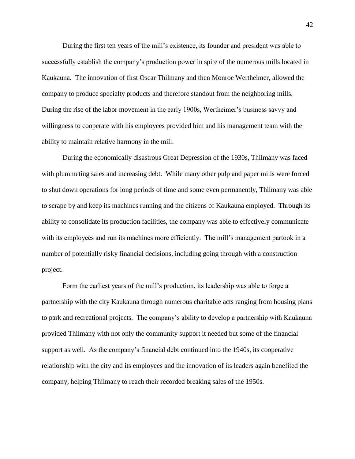During the first ten years of the mill"s existence, its founder and president was able to successfully establish the company's production power in spite of the numerous mills located in Kaukauna. The innovation of first Oscar Thilmany and then Monroe Wertheimer, allowed the company to produce specialty products and therefore standout from the neighboring mills. During the rise of the labor movement in the early 1900s, Wertheimer"s business savvy and willingness to cooperate with his employees provided him and his management team with the ability to maintain relative harmony in the mill.

During the economically disastrous Great Depression of the 1930s, Thilmany was faced with plummeting sales and increasing debt. While many other pulp and paper mills were forced to shut down operations for long periods of time and some even permanently, Thilmany was able to scrape by and keep its machines running and the citizens of Kaukauna employed. Through its ability to consolidate its production facilities, the company was able to effectively communicate with its employees and run its machines more efficiently. The mill's management partook in a number of potentially risky financial decisions, including going through with a construction project.

Form the earliest years of the mill"s production, its leadership was able to forge a partnership with the city Kaukauna through numerous charitable acts ranging from housing plans to park and recreational projects. The company"s ability to develop a partnership with Kaukauna provided Thilmany with not only the community support it needed but some of the financial support as well. As the company"s financial debt continued into the 1940s, its cooperative relationship with the city and its employees and the innovation of its leaders again benefited the company, helping Thilmany to reach their recorded breaking sales of the 1950s.

42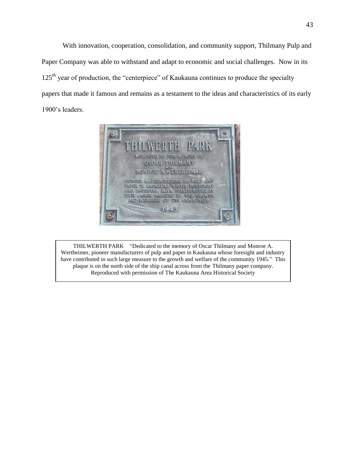With innovation, cooperation, consolidation, and community support, Thilmany Pulp and Paper Company was able to withstand and adapt to economic and social challenges. Now in its  $125<sup>th</sup>$  year of production, the "centerpiece" of Kaukauna continues to produce the specialty papers that made it famous and remains as a testament to the ideas and characteristics of its early 1900"s leaders.



THILWERTH PARK "Dedicated to the memory of Oscar Thilmany and Monroe A. Wertheimer, pioneer manufacturers of pulp and paper in Kaukauna whose foresight and industry have contributed in such large measure to the growth and welfare of the community 1945." This plaque is on the north side of the ship canal across from the Thilmany paper company. Reproduced with permission of The Kaukauna Area Historical Society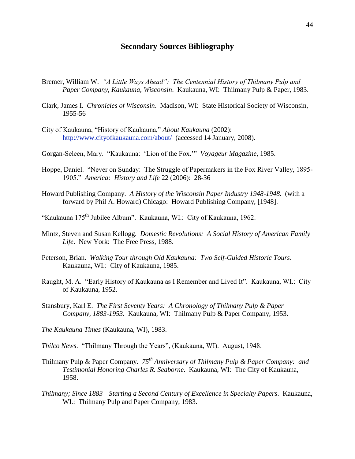## **Secondary Sources Bibliography**

- Bremer, William W. *"A Little Ways Ahead": The Centennial History of Thilmany Pulp and Paper Company, Kaukauna, Wisconsin*. Kaukauna, WI: Thilmany Pulp & Paper, 1983.
- Clark, James I. *Chronicles of Wisconsin*. Madison, WI: State Historical Society of Wisconsin, 1955-56
- City of Kaukauna, "History of Kaukauna," *About Kaukauna* (2002): http://www.cityofkaukauna.com/about/ (accessed 14 January, 2008).
- Gorgan-Seleen, Mary. "Kaukauna: "Lion of the Fox."" *Voyageur Magazine*, 1985.
- Hoppe, Daniel. "Never on Sunday: The Struggle of Papermakers in the Fox River Valley, 1895- 1905." *America: History and Life* 22 (2006): 28-36
- Howard Publishing Company. *A History of the Wisconsin Paper Industry 1948-1948*. (with a forward by Phil A. Howard) Chicago: Howard Publishing Company, [1948].
- "Kaukauna 175th Jubilee Album". Kaukauna, WI.: City of Kaukauna, 1962.
- Mintz, Steven and Susan Kellogg. *Domestic Revolutions: A Social History of American Family Life*. New York: The Free Press, 1988.
- Peterson, Brian. *Walking Tour through Old Kaukauna: Two Self-Guided Historic Tours*. Kaukauna, WI.: City of Kaukauna, 1985.
- Raught, M. A. "Early History of Kaukauna as I Remember and Lived It". Kaukauna, WI.: City of Kaukauna, 1952.
- Stansbury, Karl E. *The First Seventy Years: A Chronology of Thilmany Pulp & Paper Company, 1883-1953*. Kaukauna, WI: Thilmany Pulp & Paper Company, 1953.
- *The Kaukauna Times* (Kaukauna, WI), 1983.
- *Thilco News*. "Thilmany Through the Years", (Kaukauna, WI). August, 1948.
- Thilmany Pulp & Paper Company. *75th Anniversary of Thilmany Pulp & Paper Company: and Testimonial Honoring Charles R. Seaborne*. Kaukauna, WI: The City of Kaukauna, 1958.
- *Thilmany; Since 1883—Starting a Second Century of Excellence in Specialty Papers*. Kaukauna, WI.: Thilmany Pulp and Paper Company, 1983.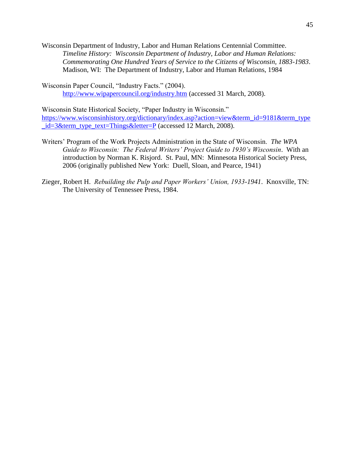Wisconsin Department of Industry, Labor and Human Relations Centennial Committee. *Timeline History: Wisconsin Department of Industry, Labor and Human Relations: Commemorating One Hundred Years of Service to the Citizens of Wisconsin, 1883-1983*. Madison, WI: The Department of Industry, Labor and Human Relations, 1984

Wisconsin Paper Council, "Industry Facts." (2004). <http://www.wipapercouncil.org/industry.htm> (accessed 31 March, 2008).

Wisconsin State Historical Society, "Paper Industry in Wisconsin." [https://www.wisconsinhistory.org/dictionary/index.asp?action=view&term\\_id=9181&term\\_type](https://www.wisconsinhistory.org/dictionary/index.asp?action=view&term_id=9181&term_type_id=3&term_type_text=Things&letter=P) [\\_id=3&term\\_type\\_text=Things&letter=P](https://www.wisconsinhistory.org/dictionary/index.asp?action=view&term_id=9181&term_type_id=3&term_type_text=Things&letter=P) (accessed 12 March, 2008).

- Writers" Program of the Work Projects Administration in the State of Wisconsin. *The WPA Guide to Wisconsin: The Federal Writers' Project Guide to 1930's Wisconsin*. With an introduction by Norman K. Risjord. St. Paul, MN: Minnesota Historical Society Press, 2006 (originally published New York: Duell, Sloan, and Pearce, 1941)
- Zieger, Robert H. *Rebuilding the Pulp and Paper Workers' Union, 1933-1941*. Knoxville, TN: The University of Tennessee Press, 1984.